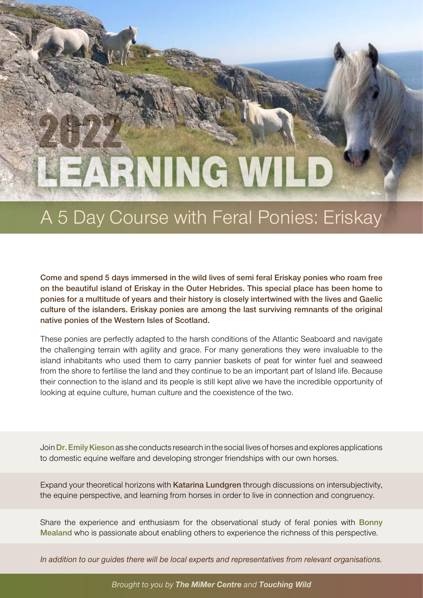# 2022

# A 5 Day Course with Feral Ponies: Eriskay

**Come and spend 5 days immersed in the wild lives of semi feral Eriskay ponies who roam free on the beautiful island of Eriskay in the Outer Hebrides. This special place has been home to ponies for a multitude of years and their history is closely intertwined with the lives and Gaelic culture of the islanders. Eriskay ponies are among the last surviving remnants of the original native ponies of the Western Isles of Scotland.**

These ponies are perfectly adapted to the harsh conditions of the Atlantic Seaboard and navigate the challenging terrain with agility and grace. For many generations they were invaluable to the island inhabitants who used them to carry pannier baskets of peat for winter fuel and seaweed from the shore to fertilise the land and they continue to be an important part of Island life. Because their connection to the island and its people is still kept alive we have the incredible opportunity of looking at equine culture, human culture and the coexistence of the two.

Join **Dr. Emily Kieson** as she conducts research in the social lives of horses and explores applications to domestic equine welfare and developing stronger friendships with our own horses.

Expand your theoretical horizons with **Katarina Lundgren** through discussions on intersubjectivity, the equine perspective, and learning from horses in order to live in connection and congruency.

Share the experience and enthusiasm for the observational study of feral ponies with **Bonny Mealand** who is passionate about enabling others to experience the richness of this perspective.

*In addition to our guides there will be local experts and representatives from relevant organisations.*

*Brought to you by The MiMer Centre and Touching Wild*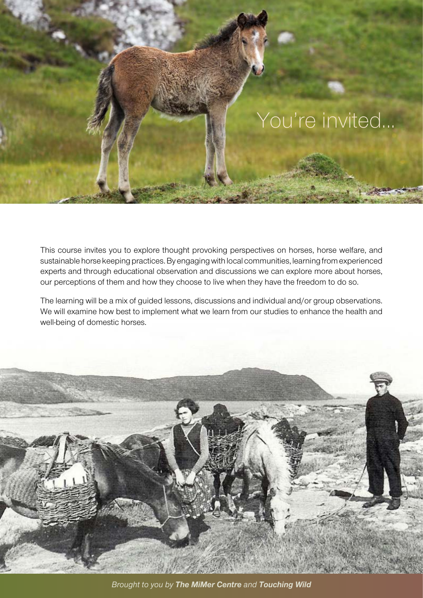

This course invites you to explore thought provoking perspectives on horses, horse welfare, and sustainable horse keeping practices. By engaging with local communities, learning from experienced experts and through educational observation and discussions we can explore more about horses, our perceptions of them and how they choose to live when they have the freedom to do so.

The learning will be a mix of guided lessons, discussions and individual and/or group observations. We will examine how best to implement what we learn from our studies to enhance the health and well-being of domestic horses.



*Brought to you by The MiMer Centre and Touching Wild*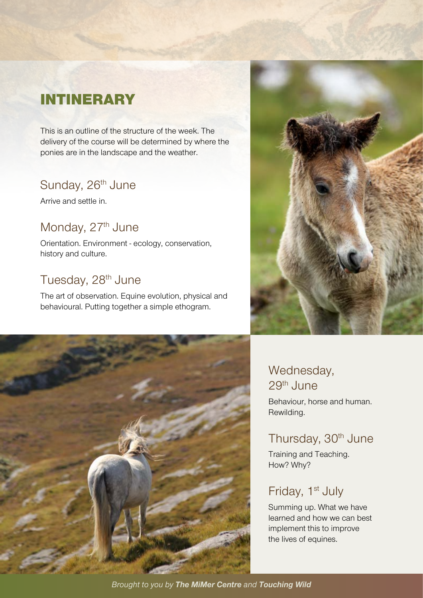# INTINERARY

This is an outline of the structure of the week. The delivery of the course will be determined by where the ponies are in the landscape and the weather.

# Sunday, 26<sup>th</sup> June

Arrive and settle in.

# Monday, 27<sup>th</sup> June

Orientation. Environment - ecology, conservation, history and culture.

# Tuesday, 28<sup>th</sup> June

The art of observation. Equine evolution, physical and behavioural. Putting together a simple ethogram.





## Wednesday, 29th June

Behaviour, horse and human. Rewilding.

# Thursday, 30<sup>th</sup> June

Training and Teaching. How? Why?

## Friday, 1<sup>st</sup> July

Summing up. What we have learned and how we can best implement this to improve the lives of equines.

*Brought to you by The MiMer Centre and Touching Wild*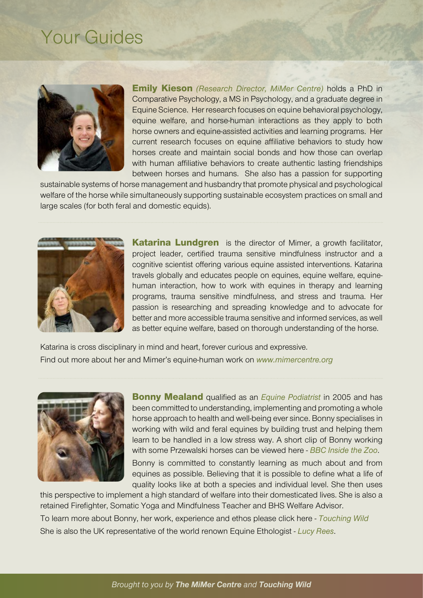# Your Guides



Emily Kieson *(Research Director, MiMer Centre)* holds a PhD in Comparative Psychology, a MS in Psychology, and a graduate degree in Equine Science. Her research focuses on equine behavioral psychology, equine welfare, and horse-human interactions as they apply to both horse owners and equine-assisted activities and learning programs. Her current research focuses on equine affiliative behaviors to study how horses create and maintain social bonds and how those can overlap with human affiliative behaviors to create authentic lasting friendships between horses and humans. She also has a passion for supporting

sustainable systems of horse management and husbandry that promote physical and psychological welfare of the horse while simultaneously supporting sustainable ecosystem practices on small and large scales (for both feral and domestic equids).



**Katarina Lundgren** is the director of Mimer, a growth facilitator, project leader, certified trauma sensitive mindfulness instructor and a cognitive scientist offering various equine assisted interventions. Katarina travels globally and educates people on equines, equine welfare, equinehuman interaction, how to work with equines in therapy and learning programs, trauma sensitive mindfulness, and stress and trauma. Her passion is researching and spreading knowledge and to advocate for better and more accessible trauma sensitive and informed services, as well as better equine welfare, based on thorough understanding of the horse.

Katarina is cross disciplinary in mind and heart, forever curious and expressive. Find out more about her and Mimer's equine-human work on *[www.mimercentre.org](http://www.mimercentre.org)*



Bonny Mealand qualified as an *[Equine Podiatrist](https://www.epauk.org/)* in 2005 and has been committed to understanding, implementing and promoting a whole horse approach to health and well-being ever since. Bonny specialises in working with wild and feral equines by building trust and helping them learn to be handled in a low stress way. A short clip of Bonny working with some Przewalski horses can be viewed here - *[BBC Inside the Zoo](https://www.facebook.com/BBCScotland/videos/2831636827106091/)*.

Bonny is committed to constantly learning as much about and from equines as possible. Believing that it is possible to define what a life of quality looks like at both a species and individual level. She then uses

this perspective to implement a high standard of welfare into their domesticated lives. She is also a retained Firefighter, Somatic Yoga and Mindfulness Teacher and BHS Welfare Advisor. To learn more about Bonny, her work, experience and ethos please click here - *[Touching Wild](https://touching-wild.blog/)* She is also the UK representative of the world renown Equine Ethologist - *[Lucy Rees](https://www.lucyrees.uk/)*.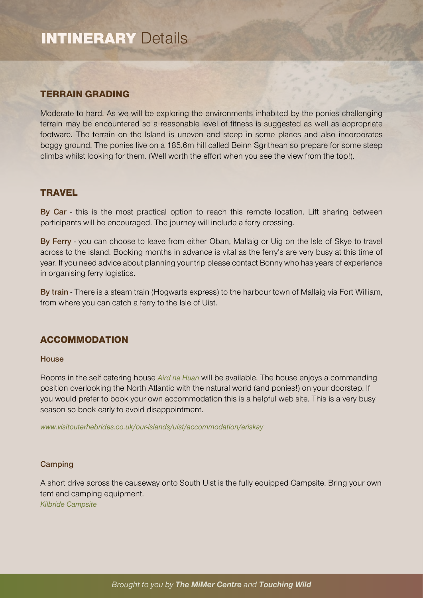## TERRAIN GRADING

Moderate to hard. As we will be exploring the environments inhabited by the ponies challenging terrain may be encountered so a reasonable level of fitness is suggested as well as appropriate footware. The terrain on the Island is uneven and steep in some places and also incorporates boggy ground. The ponies live on a 185.6m hill called Beinn Sgrithean so prepare for some steep climbs whilst looking for them. (Well worth the effort when you see the view from the top!).

#### **TRAVEL**

**By Car** - this is the most practical option to reach this remote location. Lift sharing between participants will be encouraged. The journey will include a ferry crossing.

**By Ferry** - you can choose to leave from either Oban, Mallaig or Uig on the Isle of Skye to travel across to the island. Booking months in advance is vital as the ferry's are very busy at this time of year. If you need advice about planning your trip please contact Bonny who has years of experience in organising ferry logistics.

**By train** - There is a steam train (Hogwarts express) to the harbour town of Mallaig via Fort William, from where you can catch a ferry to the Isle of Uist.

## ACCOMMODATION

#### **House**

Rooms in the self catering house *[Aird na Huan](https://www.eriskayselfcatering.com/)* will be available. The house enjoys a commanding position overlooking the North Atlantic with the natural world (and ponies!) on your doorstep. If you would prefer to book your own accommodation this is a helpful web site. This is a very busy season so book early to avoid disappointment.

*[www.visitouterhebrides.co.uk/our-islands/uist/accommodation/eriskay](http://www.visitouterhebrides.co.uk/our-islands/uist/accommodation/eriskay )*

#### **Camping**

A short drive across the causeway onto South Uist is the fully equipped Campsite. Bring your own tent and camping equipment. *[Kilbride Campsite](https://kilbride-campsite.business.site)*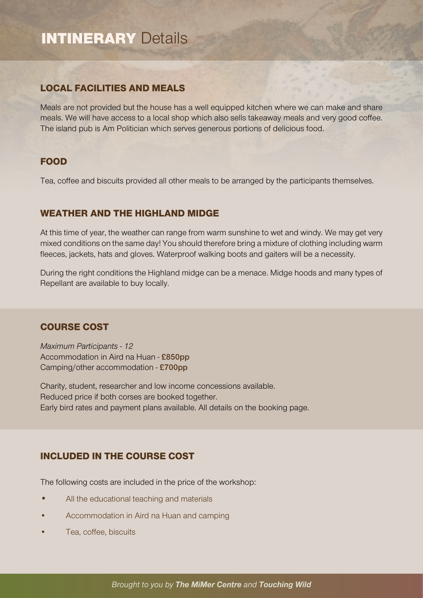## LOCAL FACILITIES AND MEALS

Meals are not provided but the house has a well equipped kitchen where we can make and share meals. We will have access to a local shop which also sells takeaway meals and very good coffee. The island pub is Am Politician which serves generous portions of delicious food.

## FOOD

Tea, coffee and biscuits provided all other meals to be arranged by the participants themselves.

## WEATHER AND THE HIGHLAND MIDGE

At this time of year, the weather can range from warm sunshine to wet and windy. We may get very mixed conditions on the same day! You should therefore bring a mixture of clothing including warm fleeces, jackets, hats and gloves. Waterproof walking boots and gaiters will be a necessity.

During the right conditions the Highland midge can be a menace. Midge hoods and many types of Repellant are available to buy locally.

## COURSE COST

*Maximum Participants - 12* Accommodation in Aird na Huan - **£850pp** Camping/other accommodation - **£700pp**

Charity, student, researcher and low income concessions available. Reduced price if both corses are booked together. Early bird rates and payment plans available. All details on the booking page.

## INCLUDED IN THE COURSE COST

The following costs are included in the price of the workshop:

- All the educational teaching and materials
- Accommodation in Aird na Huan and camping
- Tea, coffee, biscuits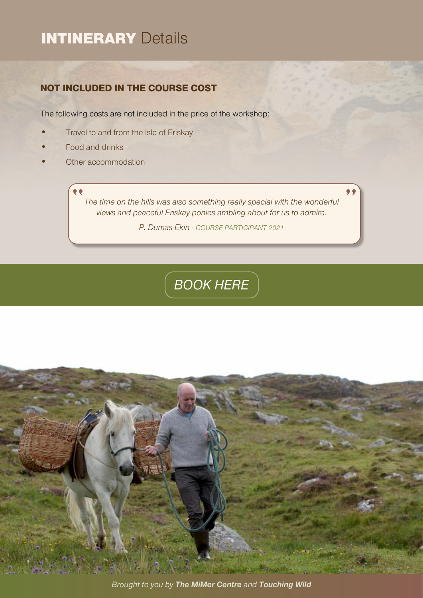## NOT INCLUDED IN THE COURSE COST

The following costs are not included in the price of the workshop:

- Travel to and from the Isle of Eriskay
- Food and drinks
- Other accommodation

**RE** *The time on the hills was also something really special with the wonderful views and peaceful Eriskay ponies ambling about for us to admire.* 

*P. Dumas-Ekin - COURSE PARTICIPANT 2021*

# *[BOOK HERE](https://mimer-centre-school.teachable.com/p/learning-wild-eriskay)*



*Brought to you by The MiMer Centre and Touching Wild*